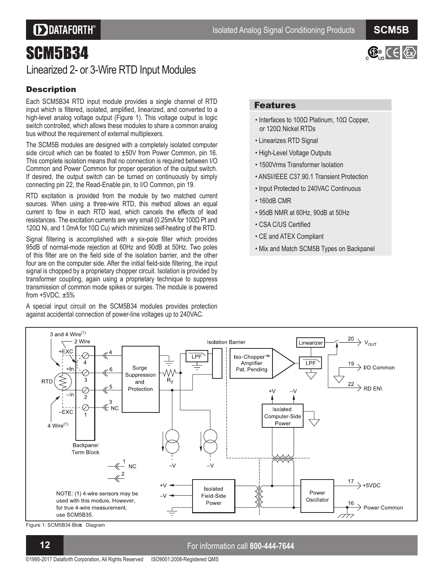## **DDATAFORTH®**

 $\mathbb{G}$  ( $\in$   $\langle \xi_x \rangle$ 

# SCM5B34

### Linearized 2- or 3-Wire RTD Input Modules

#### **Description**

Each SCM5B34 RTD input module provides a single channel of RTD input which is filtered, isolated, amplified, linearized, and converted to a high-level analog voltage output (Figure 1). This voltage output is logic switch controlled, which allows these modules to share a common analog bus without the requirement of external multiplexers.

The SCM5B modules are designed with a completely isolated computer side circuit which can be floated to  $\pm 50V$  from Power Common, pin 16. This complete isolation means that no connection is required between I/O Common and Power Common for proper operation of the output switch. If desired, the output switch can be turned on continuously by simply connecting pin 22, the Read-Enable pin, to I/O Common, pin 19.

RTD excitation is provided from the module by two matched current sources. When using a three-wire RTD, this method allows an equal current to flow in each RTD lead, which cancels the effects of lead resistances. The excitation currents are very small (0.25mA for  $100\Omega$  Pt and 120 $\Omega$  Ni, and 1.0mA for 10 $\Omega$  Cu) which minimizes self-heating of the RTD.

Signal filtering is accomplished with a six-pole filter which provides 95dB of normal-mode rejection at 60Hz and 90dB at 50Hz. Two poles of this filter are on the field side of the isolation barrier, and the other four are on the computer side. After the initial field-side filtering, the input signal is chopped by a proprietary chopper circuit. Isolation is provided by transformer coupling, again using a proprietary technique to suppress transmission of common mode spikes or surges. The module is powered from  $+5VDC$ ,  $\pm 5\%$ 

A special input circuit on the SCM5B34 modules provides protection against accidental connection of power-line voltages up to 240VAC.

#### Features

- $\cdot$  Interfaces to 100 $\Omega$  Platinum, 10 $\Omega$  Copper, or  $120\Omega$  Nickel RTDs
- Linearizes RTD Signal
- High-Level Voltage Outputs
- 1500Vrms Transformer Isolation
- ANSI/IEEE C37.90.1 Transient Protection
- Input Protected to 240VAC Continuous
- 160dB CMR
- 95dB NMR at 60Hz, 90dB at 50Hz
- CSA C/US Certified
- CE and ATEX Compliant
- Mix and Match SCM5B Types on Backpanel



Figure 1: SCM5B34 Blok Diagram

#### **1 2** For information call **800-444-7644**